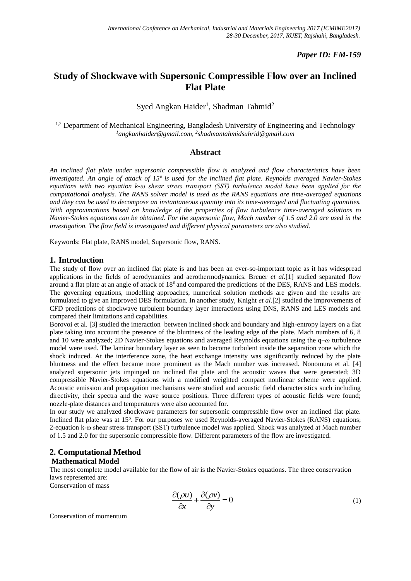## *Paper ID: FM-159*

# **Study of Shockwave with Supersonic Compressible Flow over an Inclined Flat Plate**

## Syed Angkan Haider<sup>1</sup>, Shadman Tahmid<sup>2</sup>

<sup>1,2</sup> Department of Mechanical Engineering, Bangladesh University of Engineering and Technology *<sup>1</sup>angkanhaider@gmail.com, 2 shadmantahmidsuhrid@gmail.com*

### **Abstract**

*An inclined flat plate under supersonic compressible flow is analyzed and flow characteristics have been investigated. An angle of attack of 15<sup>o</sup>is used for the inclined flat plate. Reynolds averaged Navier-Stokes equations with two equation k-ω shear stress transport (SST) turbulence model have been applied for the computational analysis. The RANS solver model is used as the RANS equations are time-averaged equations and they can be used to decompose an instantaneous quantity into its time-averaged and fluctuating quantities. With approximations based on knowledge of the properties of flow turbulence time-averaged solutions to Navier-Stokes equations can be obtained. For the supersonic flow, Mach number of 1.5 and 2.0 are used in the investigation. The flow field is investigated and different physical parameters are also studied.*

Keywords: Flat plate, RANS model, Supersonic flow, RANS.

## **1. Introduction**

The study of flow over an inclined flat plate is and has been an ever-so-important topic as it has widespread applications in the fields of aerodynamics and aerothermodynamics. Breuer *et al.*[1] studied separated flow around a flat plate at an angle of attack of  $18<sup>0</sup>$  and compared the predictions of the DES, RANS and LES models. The governing equations, modelling approaches, numerical solution methods are given and the results are formulated to give an improved DES formulation. In another study, Knight *et al.*[2] studied the improvements of CFD predictions of shockwave turbulent boundary layer interactions using DNS, RANS and LES models and compared their limitations and capabilities.

Borovoi et al. [3] studied the interaction between inclined shock and boundary and high-entropy layers on a flat plate taking into account the presence of the bluntness of the leading edge of the plate. Mach numbers of 6, 8 and 10 were analyzed; 2D Navier-Stokes equations and averaged Reynolds equations using the q–*ω* turbulence model were used. The laminar boundary layer as seen to become turbulent inside the separation zone which the shock induced. At the interference zone, the heat exchange intensity was significantly reduced by the plate bluntness and the effect became more prominent as the Mach number was increased. Nonomura et al. [4] analyzed supersonic jets impinged on inclined flat plate and the acoustic waves that were generated; 3D compressible Navier-Stokes equations with a modified weighted compact nonlinear scheme were applied. Acoustic emission and propagation mechanisms were studied and acoustic field characteristics such including directivity, their spectra and the wave source positions. Three different types of acoustic fields were found; nozzle-plate distances and temperatures were also accounted for.

In our study we analyzed shockwave parameters for supersonic compressible flow over an inclined flat plate. Inclined flat plate was at 15°. For our purposes we used Reynolds-averaged Navier-Stokes (RANS) equations; 2-equation k-ω shear stress transport (SST) turbulence model was applied. Shock was analyzed at Mach number of 1.5 and 2.0 for the supersonic compressible flow. Different parameters of the flow are investigated.

## **2. Computational Method**

#### **Mathematical Model**

The most complete model available for the flow of air is the Navier-Stokes equations. The three conservation laws represented are:

Conservation of mass

$$
\frac{\partial(\rho u)}{\partial x} + \frac{\partial(\rho v)}{\partial y} = 0
$$
\n(1)

Conservation of momentum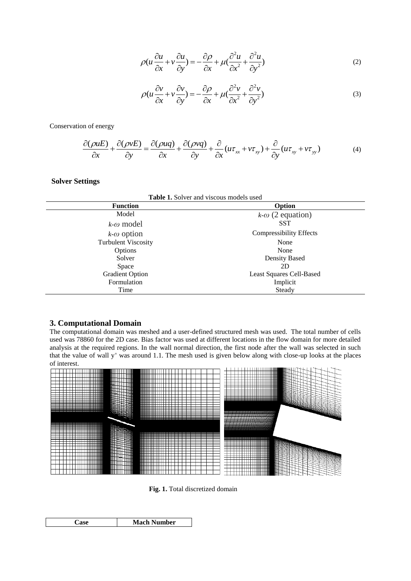$$
\rho(u\frac{\partial u}{\partial x} + v\frac{\partial u}{\partial y}) = -\frac{\partial \rho}{\partial x} + \mu(\frac{\partial^2 u}{\partial x^2} + \frac{\partial^2 u}{\partial y^2})
$$
(2)

$$
\rho(u\frac{\partial v}{\partial x} + v\frac{\partial v}{\partial y}) = -\frac{\partial \rho}{\partial x} + \mu(\frac{\partial^2 v}{\partial x^2} + \frac{\partial^2 v}{\partial y^2})
$$
(3)

Conservation of energy

$$
\frac{\partial(\rho u E)}{\partial x} + \frac{\partial(\rho v E)}{\partial y} = \frac{\partial(\rho u q)}{\partial x} + \frac{\partial(\rho v q)}{\partial y} + \frac{\partial}{\partial x}(u \tau_{xx} + v \tau_{xy}) + \frac{\partial}{\partial y}(u \tau_{xy} + v \tau_{yy})
$$
(4)

## **Solver Settings**

| <b>Table 1.</b> Solver and viscous models used |                                |
|------------------------------------------------|--------------------------------|
| <b>Function</b>                                | Option                         |
| Model                                          | $k-\omega$ (2 equation)        |
| $k$ - $\omega$ model                           | <b>SST</b>                     |
| $k$ - $\omega$ option                          | <b>Compressibility Effects</b> |
| <b>Turbulent Viscosity</b>                     | None                           |
| Options                                        | None                           |
| Solver                                         | Density Based                  |
| Space                                          | 2D                             |
| <b>Gradient Option</b>                         | Least Squares Cell-Based       |
| Formulation                                    | Implicit                       |
| Time                                           | Steady                         |

### **3. Computational Domain**

The computational domain was meshed and a user-defined structured mesh was used. The total number of cells used was 78860 for the 2D case. Bias factor was used at different locations in the flow domain for more detailed analysis at the required regions. In the wall normal direction, the first node after the wall was selected in such that the value of wall y<sup>+</sup> was around 1.1. The mesh used is given below along with close-up looks at the places of interest.



**Fig. 1.** Total discretized domain

|  |  | <b>Number</b><br>Mach |
|--|--|-----------------------|
|--|--|-----------------------|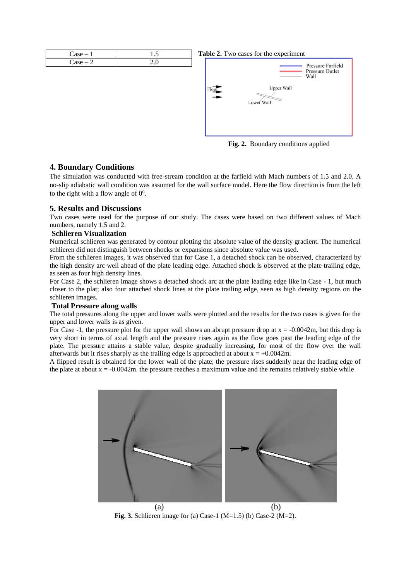



**Fig. 2.** Boundary conditions applied

## **4. Boundary Conditions**

The simulation was conducted with free-stream condition at the farfield with Mach numbers of 1.5 and 2.0. A no-slip adiabatic wall condition was assumed for the wall surface model. Here the flow direction is from the left to the right with a flow angle of  $0^0$ .

## **5. Results and Discussions**

Two cases were used for the purpose of our study. The cases were based on two different values of Mach numbers, namely 1.5 and 2.

### **Schlieren Visualization**

Numerical schlieren was generated by contour plotting the absolute value of the density gradient. The numerical schlieren did not distinguish between shocks or expansions since absolute value was used.

From the schlieren images, it was observed that for Case 1, a detached shock can be observed, characterized by the high density arc well ahead of the plate leading edge. Attached shock is observed at the plate trailing edge, as seen as four high density lines.

For Case 2, the schlieren image shows a detached shock arc at the plate leading edge like in Case - 1, but much closer to the plat; also four attached shock lines at the plate trailing edge, seen as high density regions on the schlieren images.

#### **Total Pressure along walls**

The total pressures along the upper and lower walls were plotted and the results for the two cases is given for the upper and lower walls is as given.

For Case -1, the pressure plot for the upper wall shows an abrupt pressure drop at  $x = -0.0042$ m, but this drop is very short in terms of axial length and the pressure rises again as the flow goes past the leading edge of the plate. The pressure attains a stable value, despite gradually increasing, for most of the flow over the wall afterwards but it rises sharply as the trailing edge is approached at about  $x = +0.0042$ m.

A flipped result is obtained for the lower wall of the plate; the pressure rises suddenly near the leading edge of the plate at about  $x = -0.0042$ m. the pressure reaches a maximum value and the remains relatively stable while



 $(a)$  (b) **Fig. 3.** Schlieren image for (a) Case-1 (M=1.5) (b) Case-2 (M=2).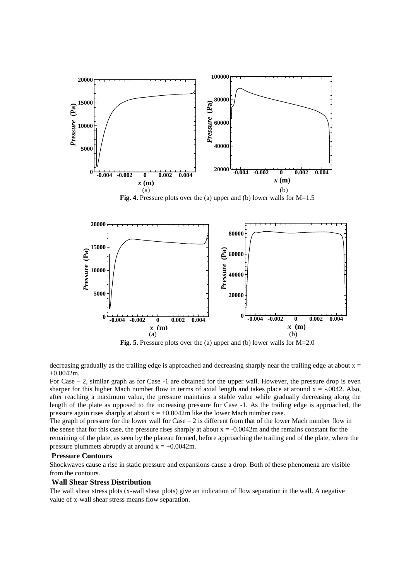

Fig. 4. Pressure plots over the (a) upper and (b) lower walls for M=1.5



**Fig. 5.** Pressure plots over the (a) upper and (b) lower walls for M=2.0

decreasing gradually as the trailing edge is approached and decreasing sharply near the trailing edge at about  $x =$ +0.0042m.

For Case – 2, similar graph as for Case -1 are obtained for the upper wall. However, the pressure drop is even sharper for this higher Mach number flow in terms of axial length and takes place at around  $x = -0.042$ . Also, after reaching a maximum value, the pressure maintains a stable value while gradually decreasing along the length of the plate as opposed to the increasing pressure for Case -1. As the trailing edge is approached, the pressure again rises sharply at about  $x = +0.0042$ m like the lower Mach number case.

The graph of pressure for the lower wall for Case – 2 is different from that of the lower Mach number flow in the sense that for this case, the pressure rises sharply at about  $x = -0.0042$ m and the remains constant for the remaining of the plate, as seen by the plateau formed, before approaching the trailing end of the plate, where the pressure plummets abruptly at around  $x = +0.0042$ m.

#### **Pressure Contours**

Shockwaves cause a rise in static pressure and expansions cause a drop. Both of these phenomena are visible from the contours.

#### **Wall Shear Stress Distribution**

The wall shear stress plots (x-wall shear plots) give an indication of flow separation in the wall. A negative value of x-wall shear stress means flow separation.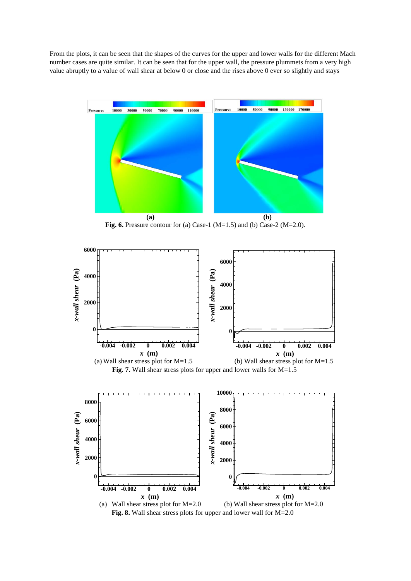From the plots, it can be seen that the shapes of the curves for the upper and lower walls for the different Mach number cases are quite similar. It can be seen that for the upper wall, the pressure plummets from a very high value abruptly to a value of wall shear at below 0 or close and the rises above 0 ever so slightly and stays



**Fig. 6.** Pressure contour for (a) Case-1 (M=1.5) and (b) Case-2 (M=2.0).



**Fig. 8.** Wall shear stress plots for upper and lower wall for M=2.0